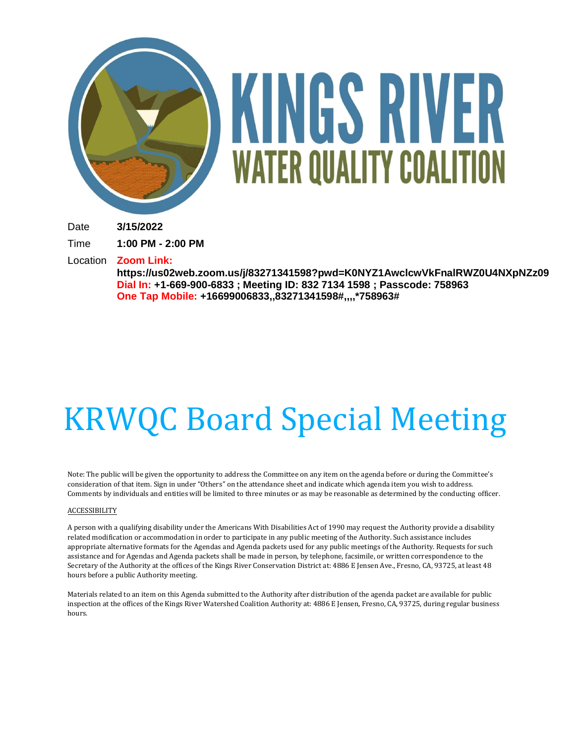

# KINGS RIVER **WATER QUALITY COALITION**

Date **3/15/2022**

Time **1:00 PM - 2:00 PM**

Location **Zoom Link:**

**https://us02web.zoom.us/j/83271341598?pwd=K0NYZ1AwclcwVkFnalRWZ0U4NXpNZz09 Dial In: +1-669-900-6833 ; Meeting ID: 832 7134 1598 ; Passcode: 758963 One Tap Mobile: +16699006833,,83271341598#,,,,\*758963#**

# KRWQC Board Special Meeting

Note: The public will be given the opportunity to address the Committee on any item on the agenda before or during the Committee's consideration of that item. Sign in under "Others" on the attendance sheet and indicate which agenda item you wish to address. Comments by individuals and entities will be limited to three minutes or as may be reasonable as determined by the conducting officer.

#### ACCESSIBILITY

A person with a qualifying disability under the Americans With Disabilities Act of 1990 may request the Authority provide a disability related modification or accommodation in order to participate in any public meeting of the Authority. Such assistance includes appropriate alternative formats for the Agendas and Agenda packets used for any public meetings of the Authority. Requests for such assistance and for Agendas and Agenda packets shall be made in person, by telephone, facsimile, or written correspondence to the Secretary of the Authority at the offices of the Kings River Conservation District at: 4886 E Jensen Ave., Fresno, CA, 93725, at least 48 hours before a public Authority meeting.

Materials related to an item on this Agenda submitted to the Authority after distribution of the agenda packet are available for public inspection at the offices of the Kings River Watershed Coalition Authority at: 4886 E Jensen, Fresno, CA, 93725, during regular business hours.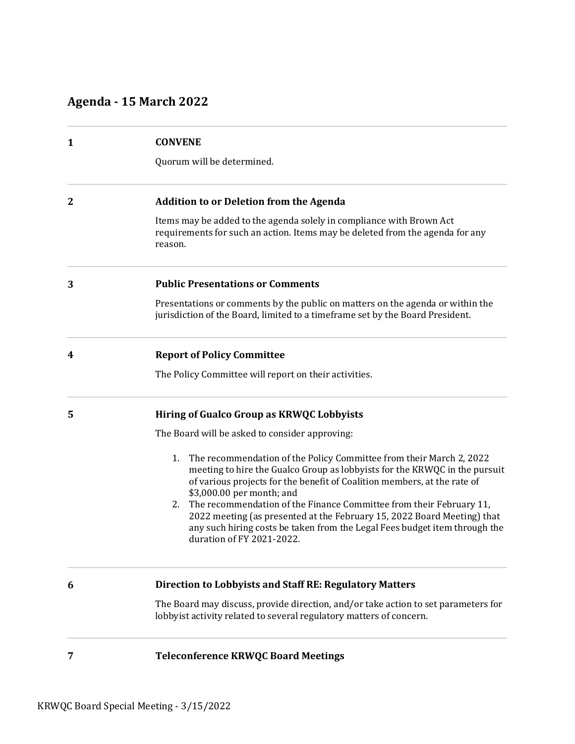# **Agenda - 15 March 2022**

| $\mathbf{1}$ | <b>CONVENE</b>                                                                                                                                                                                                                                                                                                                                                                                                                                                                                                                      |
|--------------|-------------------------------------------------------------------------------------------------------------------------------------------------------------------------------------------------------------------------------------------------------------------------------------------------------------------------------------------------------------------------------------------------------------------------------------------------------------------------------------------------------------------------------------|
|              | Quorum will be determined.                                                                                                                                                                                                                                                                                                                                                                                                                                                                                                          |
| $\mathbf{2}$ | <b>Addition to or Deletion from the Agenda</b>                                                                                                                                                                                                                                                                                                                                                                                                                                                                                      |
|              | Items may be added to the agenda solely in compliance with Brown Act<br>requirements for such an action. Items may be deleted from the agenda for any<br>reason.                                                                                                                                                                                                                                                                                                                                                                    |
| 3            | <b>Public Presentations or Comments</b>                                                                                                                                                                                                                                                                                                                                                                                                                                                                                             |
|              | Presentations or comments by the public on matters on the agenda or within the<br>jurisdiction of the Board, limited to a timeframe set by the Board President.                                                                                                                                                                                                                                                                                                                                                                     |
| 4            | <b>Report of Policy Committee</b>                                                                                                                                                                                                                                                                                                                                                                                                                                                                                                   |
|              | The Policy Committee will report on their activities.                                                                                                                                                                                                                                                                                                                                                                                                                                                                               |
| 5            | Hiring of Gualco Group as KRWQC Lobbyists                                                                                                                                                                                                                                                                                                                                                                                                                                                                                           |
|              | The Board will be asked to consider approving:                                                                                                                                                                                                                                                                                                                                                                                                                                                                                      |
|              | 1.<br>The recommendation of the Policy Committee from their March 2, 2022<br>meeting to hire the Gualco Group as lobbyists for the KRWQC in the pursuit<br>of various projects for the benefit of Coalition members, at the rate of<br>\$3,000.00 per month; and<br>The recommendation of the Finance Committee from their February 11,<br>2.<br>2022 meeting (as presented at the February 15, 2022 Board Meeting) that<br>any such hiring costs be taken from the Legal Fees budget item through the<br>duration of FY 2021-2022. |
| 6            | <b>Direction to Lobbyists and Staff RE: Regulatory Matters</b>                                                                                                                                                                                                                                                                                                                                                                                                                                                                      |
|              | The Board may discuss, provide direction, and/or take action to set parameters for<br>lobbyist activity related to several regulatory matters of concern.                                                                                                                                                                                                                                                                                                                                                                           |
| 7            | <b>Teleconference KRWQC Board Meetings</b>                                                                                                                                                                                                                                                                                                                                                                                                                                                                                          |